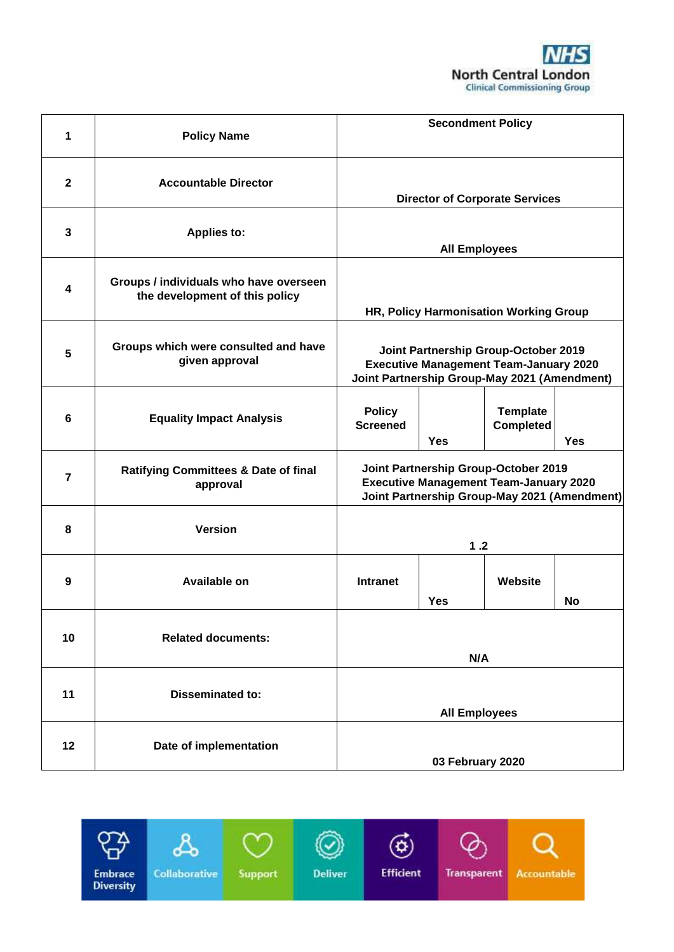

| 1              | <b>Policy Name</b>                                                       | <b>Secondment Policy</b>                                                                                                              |            |                                     |            |
|----------------|--------------------------------------------------------------------------|---------------------------------------------------------------------------------------------------------------------------------------|------------|-------------------------------------|------------|
| $\mathbf{2}$   | <b>Accountable Director</b>                                              | <b>Director of Corporate Services</b>                                                                                                 |            |                                     |            |
| $\mathbf{3}$   | <b>Applies to:</b>                                                       | <b>All Employees</b>                                                                                                                  |            |                                     |            |
| 4              | Groups / individuals who have overseen<br>the development of this policy | HR, Policy Harmonisation Working Group                                                                                                |            |                                     |            |
| 5              | Groups which were consulted and have<br>given approval                   | Joint Partnership Group-October 2019<br><b>Executive Management Team-January 2020</b><br>Joint Partnership Group-May 2021 (Amendment) |            |                                     |            |
| 6              | <b>Equality Impact Analysis</b>                                          | <b>Policy</b><br><b>Screened</b>                                                                                                      | <b>Yes</b> | <b>Template</b><br><b>Completed</b> | <b>Yes</b> |
| $\overline{7}$ | <b>Ratifying Committees &amp; Date of final</b><br>approval              | Joint Partnership Group-October 2019<br><b>Executive Management Team-January 2020</b><br>Joint Partnership Group-May 2021 (Amendment) |            |                                     |            |
| 8              | <b>Version</b>                                                           | 1.2                                                                                                                                   |            |                                     |            |
| 9              | <b>Available on</b>                                                      | <b>Intranet</b>                                                                                                                       | <b>Yes</b> | Website                             | No         |
| 10             | <b>Related documents:</b>                                                | N/A                                                                                                                                   |            |                                     |            |
| 11             | <b>Disseminated to:</b>                                                  | <b>All Employees</b>                                                                                                                  |            |                                     |            |
| 12             | Date of implementation                                                   | 03 February 2020                                                                                                                      |            |                                     |            |

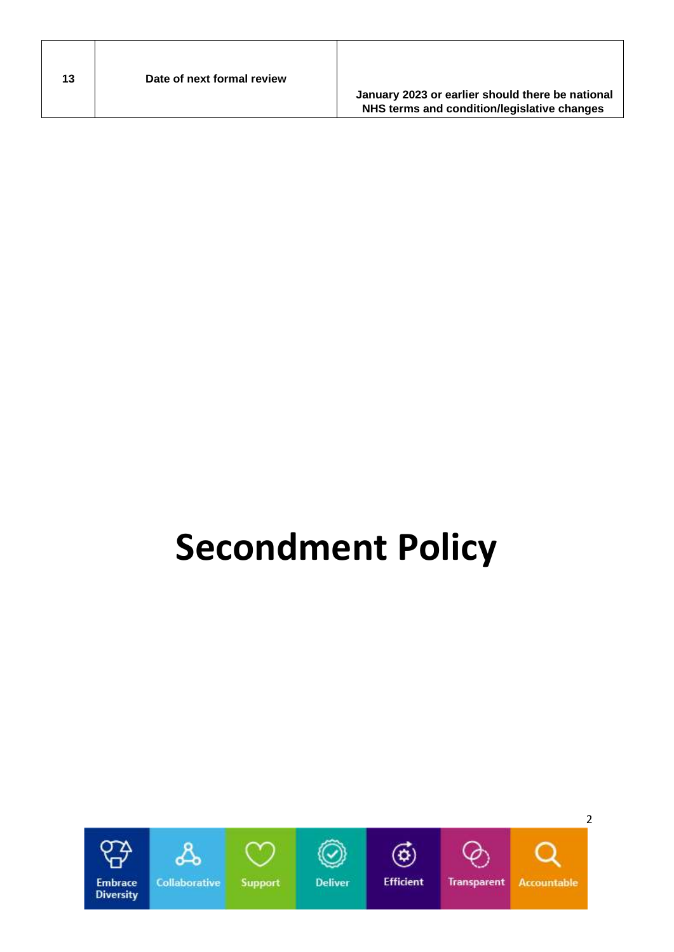| Date of next formal review<br>13<br>January 2023 or earlier should there be national<br>NHS terms and condition/legislative changes |  |
|-------------------------------------------------------------------------------------------------------------------------------------|--|
|-------------------------------------------------------------------------------------------------------------------------------------|--|

 $\mathbf{I}$ 

 $\mathsf{l}$ 

# **Secondment Policy**

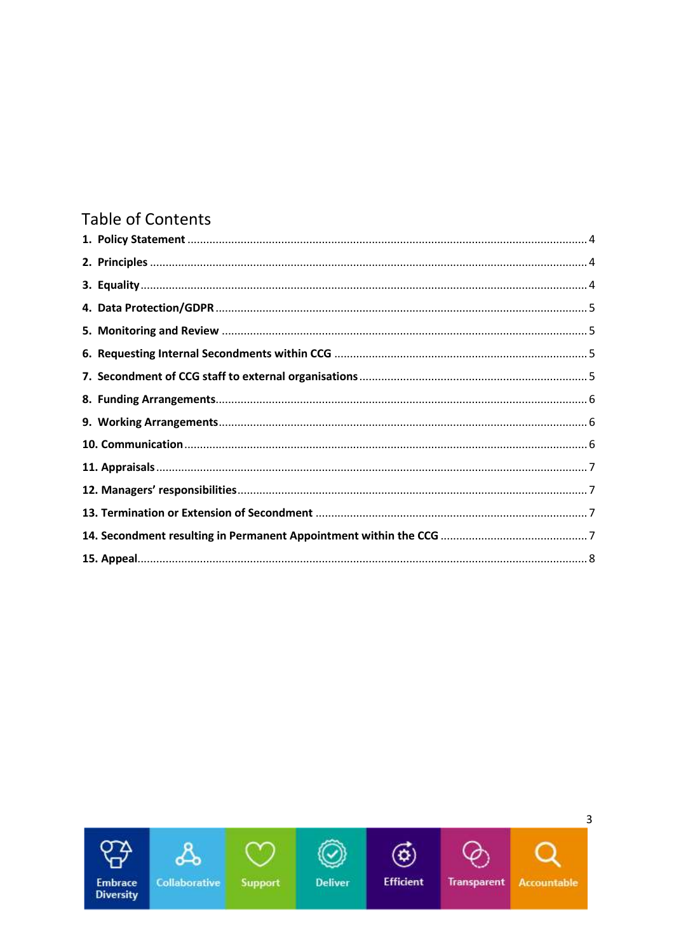# **Table of Contents**

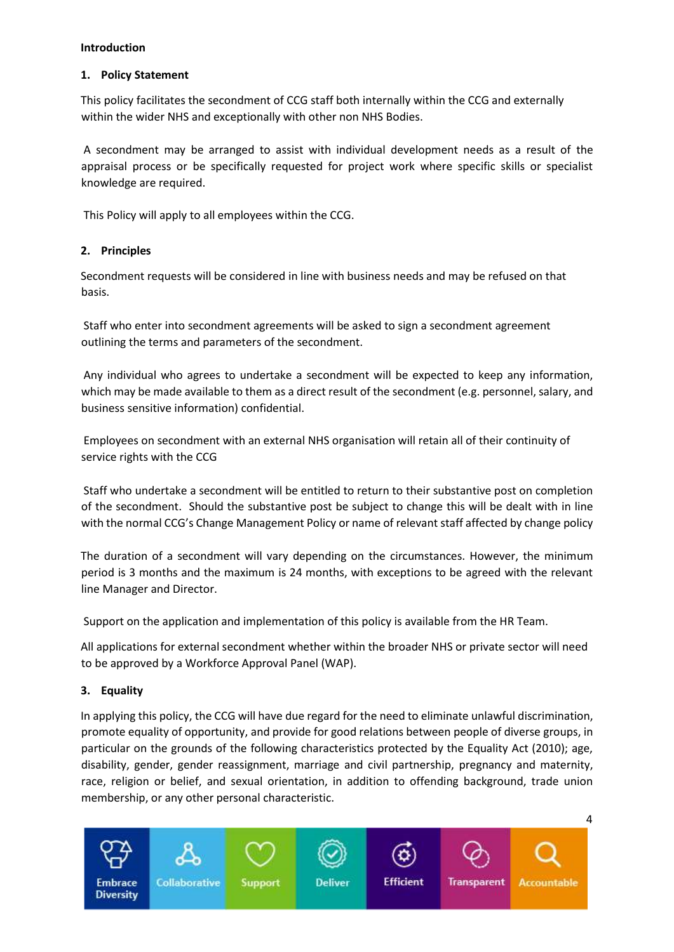#### **Introduction**

### <span id="page-3-0"></span>**1. Policy Statement**

This policy facilitates the secondment of CCG staff both internally within the CCG and externally within the wider NHS and exceptionally with other non NHS Bodies.

A secondment may be arranged to assist with individual development needs as a result of the appraisal process or be specifically requested for project work where specific skills or specialist knowledge are required.

This Policy will apply to all employees within the CCG.

# <span id="page-3-1"></span>**2. Principles**

Secondment requests will be considered in line with business needs and may be refused on that basis.

Staff who enter into secondment agreements will be asked to sign a secondment agreement outlining the terms and parameters of the secondment.

Any individual who agrees to undertake a secondment will be expected to keep any information, which may be made available to them as a direct result of the secondment (e.g. personnel, salary, and business sensitive information) confidential.

Employees on secondment with an external NHS organisation will retain all of their continuity of service rights with the CCG

Staff who undertake a secondment will be entitled to return to their substantive post on completion of the secondment. Should the substantive post be subject to change this will be dealt with in line with the normal CCG's Change Management Policy or name of relevant staff affected by change policy

The duration of a secondment will vary depending on the circumstances. However, the minimum period is 3 months and the maximum is 24 months, with exceptions to be agreed with the relevant line Manager and Director.

Support on the application and implementation of this policy is available from the HR Team.

All applications for external secondment whether within the broader NHS or private sector will need to be approved by a Workforce Approval Panel (WAP).

# <span id="page-3-2"></span>**3. Equality**

In applying this policy, the CCG will have due regard for the need to eliminate unlawful discrimination, promote equality of opportunity, and provide for good relations between people of diverse groups, in particular on the grounds of the following characteristics protected by the Equality Act (2010); age, disability, gender, gender reassignment, marriage and civil partnership, pregnancy and maternity, race, religion or belief, and sexual orientation, in addition to offending background, trade union membership, or any other personal characteristic.

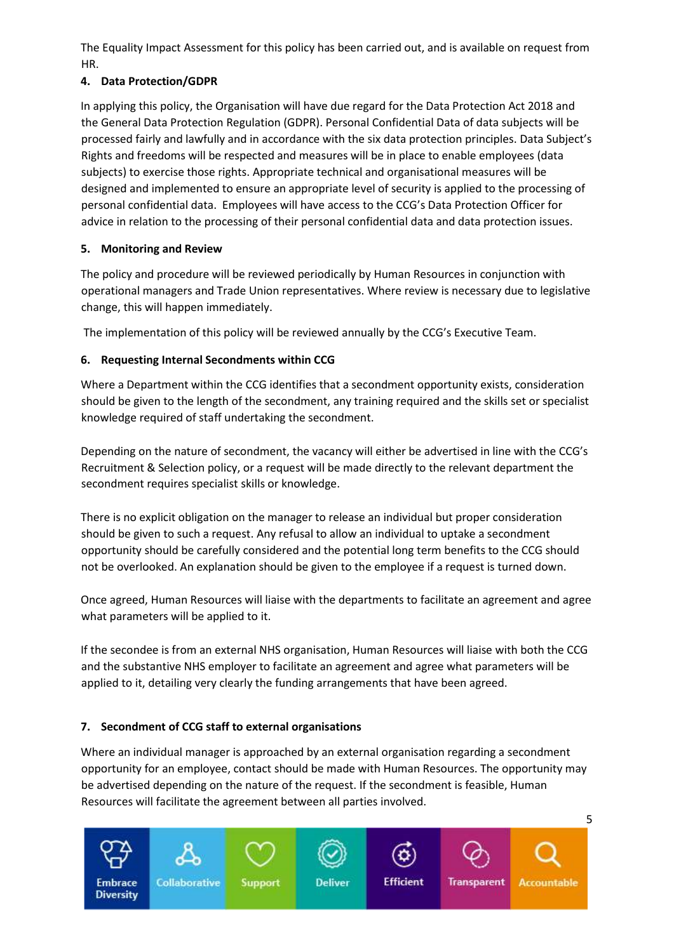The Equality Impact Assessment for this policy has been carried out, and is available on request from HR.

# <span id="page-4-0"></span>**4. Data Protection/GDPR**

In applying this policy, the Organisation will have due regard for the Data Protection Act 2018 and the General Data Protection Regulation (GDPR). Personal Confidential Data of data subjects will be processed fairly and lawfully and in accordance with the six data protection principles. Data Subject's Rights and freedoms will be respected and measures will be in place to enable employees (data subjects) to exercise those rights. Appropriate technical and organisational measures will be designed and implemented to ensure an appropriate level of security is applied to the processing of personal confidential data. Employees will have access to the CCG's Data Protection Officer for advice in relation to the processing of their personal confidential data and data protection issues.

# <span id="page-4-1"></span>**5. Monitoring and Review**

The policy and procedure will be reviewed periodically by Human Resources in conjunction with operational managers and Trade Union representatives. Where review is necessary due to legislative change, this will happen immediately.

The implementation of this policy will be reviewed annually by the CCG's Executive Team.

# <span id="page-4-2"></span>**6. Requesting Internal Secondments within CCG**

Where a Department within the CCG identifies that a secondment opportunity exists, consideration should be given to the length of the secondment, any training required and the skills set or specialist knowledge required of staff undertaking the secondment.

Depending on the nature of secondment, the vacancy will either be advertised in line with the CCG's Recruitment & Selection policy, or a request will be made directly to the relevant department the secondment requires specialist skills or knowledge.

There is no explicit obligation on the manager to release an individual but proper consideration should be given to such a request. Any refusal to allow an individual to uptake a secondment opportunity should be carefully considered and the potential long term benefits to the CCG should not be overlooked. An explanation should be given to the employee if a request is turned down.

Once agreed, Human Resources will liaise with the departments to facilitate an agreement and agree what parameters will be applied to it.

If the secondee is from an external NHS organisation, Human Resources will liaise with both the CCG and the substantive NHS employer to facilitate an agreement and agree what parameters will be applied to it, detailing very clearly the funding arrangements that have been agreed.

# <span id="page-4-3"></span>**7. Secondment of CCG staff to external organisations**

Where an individual manager is approached by an external organisation regarding a secondment opportunity for an employee, contact should be made with Human Resources. The opportunity may be advertised depending on the nature of the request. If the secondment is feasible, Human Resources will facilitate the agreement between all parties involved.

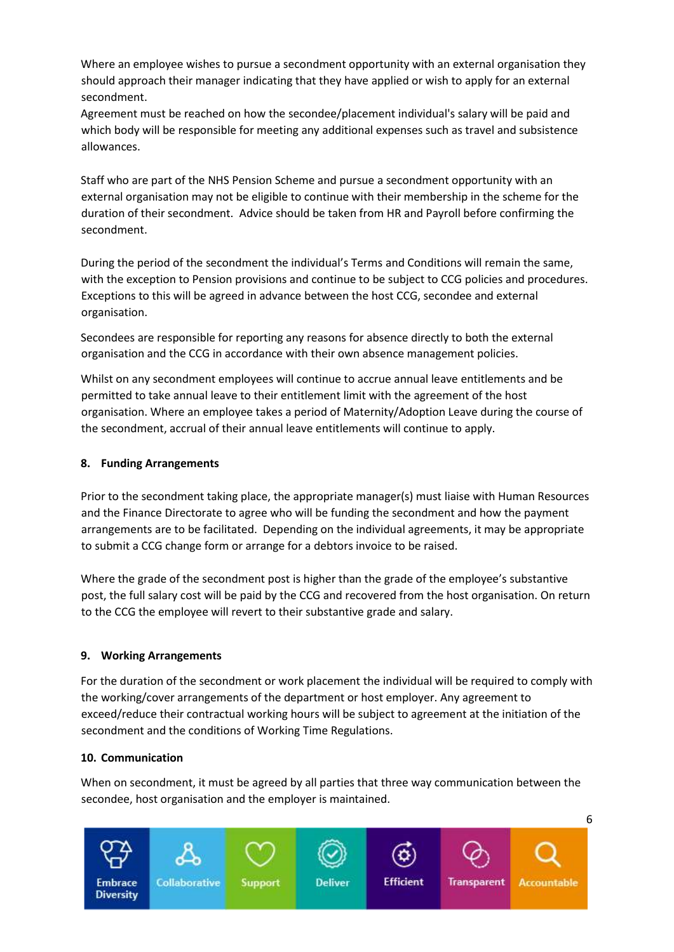Where an employee wishes to pursue a secondment opportunity with an external organisation they should approach their manager indicating that they have applied or wish to apply for an external secondment.

Agreement must be reached on how the secondee/placement individual's salary will be paid and which body will be responsible for meeting any additional expenses such as travel and subsistence allowances.

Staff who are part of the NHS Pension Scheme and pursue a secondment opportunity with an external organisation may not be eligible to continue with their membership in the scheme for the duration of their secondment. Advice should be taken from HR and Payroll before confirming the secondment.

During the period of the secondment the individual's Terms and Conditions will remain the same, with the exception to Pension provisions and continue to be subject to CCG policies and procedures. Exceptions to this will be agreed in advance between the host CCG, secondee and external organisation.

Secondees are responsible for reporting any reasons for absence directly to both the external organisation and the CCG in accordance with their own absence management policies.

Whilst on any secondment employees will continue to accrue annual leave entitlements and be permitted to take annual leave to their entitlement limit with the agreement of the host organisation. Where an employee takes a period of Maternity/Adoption Leave during the course of the secondment, accrual of their annual leave entitlements will continue to apply.

### <span id="page-5-0"></span>**8. Funding Arrangements**

Prior to the secondment taking place, the appropriate manager(s) must liaise with Human Resources and the Finance Directorate to agree who will be funding the secondment and how the payment arrangements are to be facilitated. Depending on the individual agreements, it may be appropriate to submit a CCG change form or arrange for a debtors invoice to be raised.

Where the grade of the secondment post is higher than the grade of the employee's substantive post, the full salary cost will be paid by the CCG and recovered from the host organisation. On return to the CCG the employee will revert to their substantive grade and salary.

#### <span id="page-5-1"></span>**9. Working Arrangements**

For the duration of the secondment or work placement the individual will be required to comply with the working/cover arrangements of the department or host employer. Any agreement to exceed/reduce their contractual working hours will be subject to agreement at the initiation of the secondment and the conditions of Working Time Regulations.

#### <span id="page-5-2"></span>**10. Communication**

When on secondment, it must be agreed by all parties that three way communication between the secondee, host organisation and the employer is maintained.

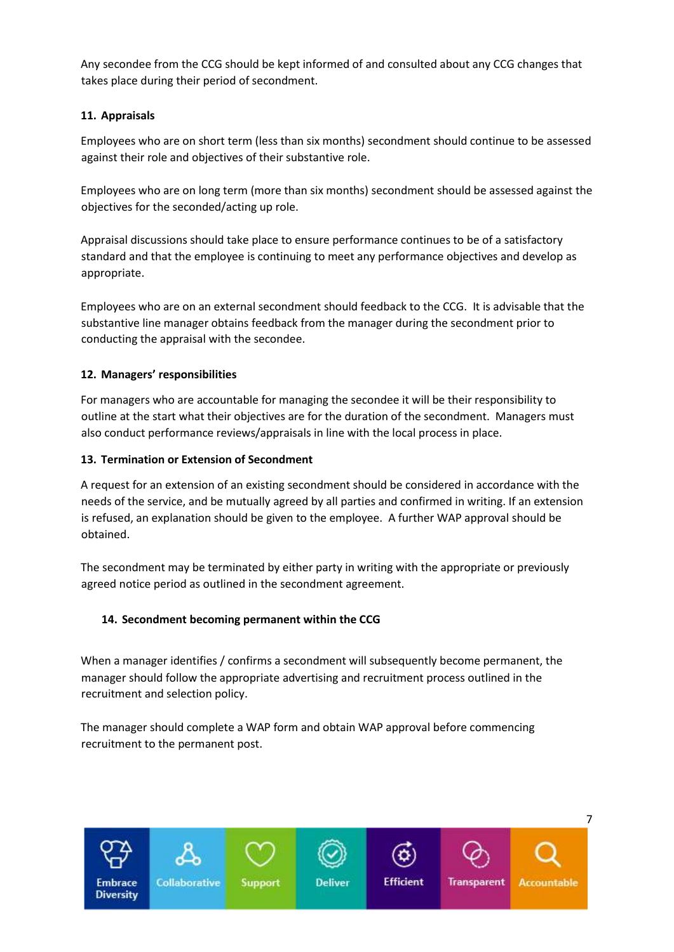Any secondee from the CCG should be kept informed of and consulted about any CCG changes that takes place during their period of secondment.

# <span id="page-6-0"></span>**11. Appraisals**

Employees who are on short term (less than six months) secondment should continue to be assessed against their role and objectives of their substantive role.

Employees who are on long term (more than six months) secondment should be assessed against the objectives for the seconded/acting up role.

Appraisal discussions should take place to ensure performance continues to be of a satisfactory standard and that the employee is continuing to meet any performance objectives and develop as appropriate.

Employees who are on an external secondment should feedback to the CCG. It is advisable that the substantive line manager obtains feedback from the manager during the secondment prior to conducting the appraisal with the secondee.

# <span id="page-6-1"></span>**12. Managers' responsibilities**

For managers who are accountable for managing the secondee it will be their responsibility to outline at the start what their objectives are for the duration of the secondment. Managers must also conduct performance reviews/appraisals in line with the local process in place.

# <span id="page-6-2"></span>**13. Termination or Extension of Secondment**

A request for an extension of an existing secondment should be considered in accordance with the needs of the service, and be mutually agreed by all parties and confirmed in writing. If an extension is refused, an explanation should be given to the employee. A further WAP approval should be obtained.

The secondment may be terminated by either party in writing with the appropriate or previously agreed notice period as outlined in the secondment agreement.

# <span id="page-6-3"></span>**14. Secondment becoming permanent within the CCG**

When a manager identifies / confirms a secondment will subsequently become permanent, the manager should follow the appropriate advertising and recruitment process outlined in the recruitment and selection policy.

The manager should complete a WAP form and obtain WAP approval before commencing recruitment to the permanent post.